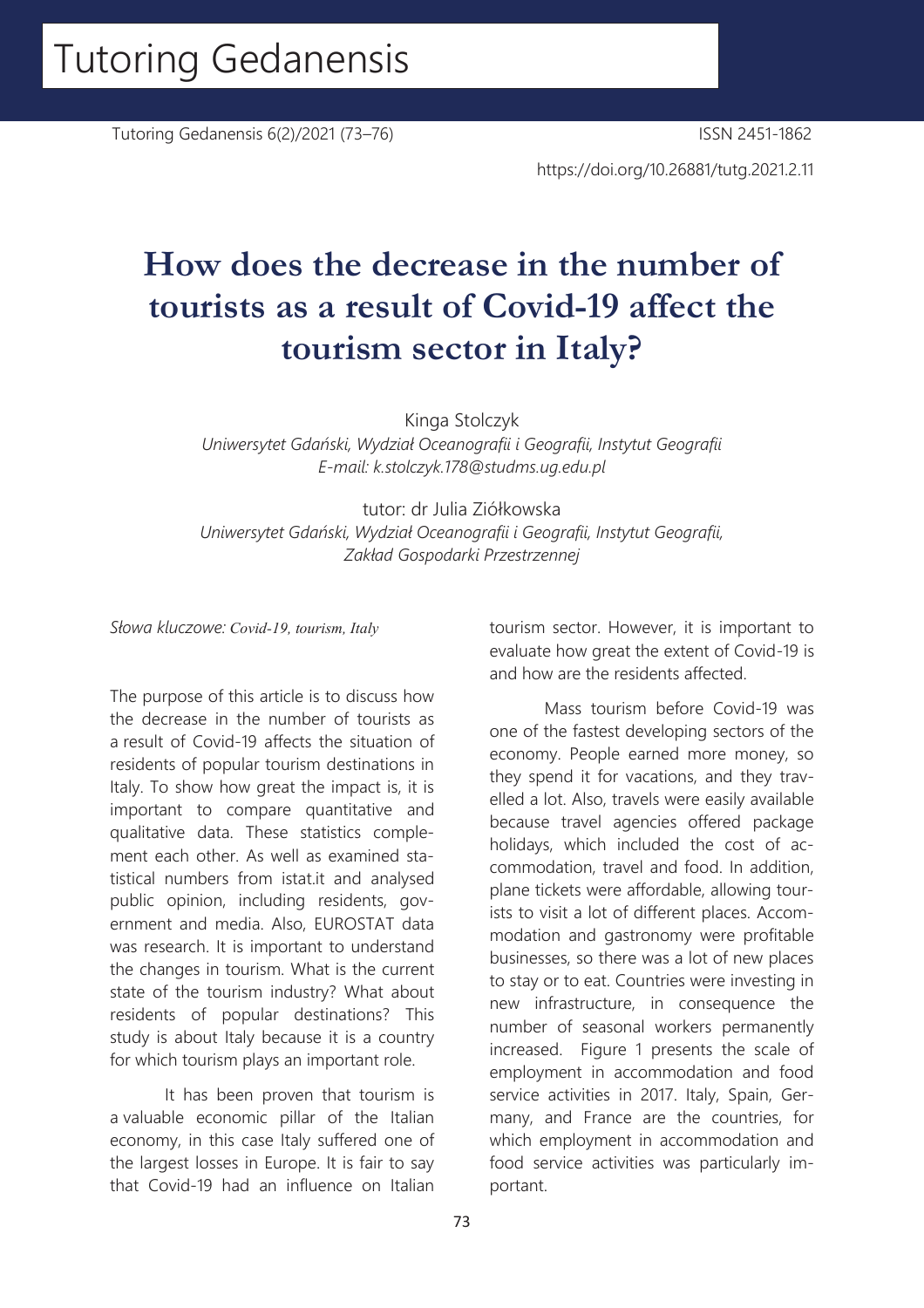Tutoring Gedanensis 6(2)/2021 (73–76) ISSN 2451-1862

https://doi.org/10.26881/tutg.2021.2.11

#### **How does the decrease in the number of tourists as a result of Covid-19 affect the tourism sector in Italy?**

Kinga Stolczyk

*Uniwersytet Gdański, Wydział Oceanografii i Geografii, Instytut Geografii E-mail: k.stolczyk.178@studms.ug.edu.pl* 

tutor: dr Julia Ziółkowska *Uniwersytet Gdański, Wydział Oceanografii i Geografii, Instytut Geografii, Zakład Gospodarki Przestrzennej*

*Słowa kluczowe: Covid-19, tourism, Italy* 

The purpose of this article is to discuss how the decrease in the number of tourists as a result of Covid-19 affects the situation of residents of popular tourism destinations in Italy. To show how great the impact is, it is important to compare quantitative and qualitative data. These statistics complement each other. As well as examined statistical numbers from istat.it and analysed public opinion, including residents, government and media. Also, EUROSTAT data was research. It is important to understand the changes in tourism. What is the current state of the tourism industry? What about residents of popular destinations? This study is about Italy because it is a country for which tourism plays an important role.

It has been proven that tourism is a valuable economic pillar of the Italian economy, in this case Italy suffered one of the largest losses in Europe. It is fair to say that Covid-19 had an influence on Italian tourism sector. However, it is important to evaluate how great the extent of Covid-19 is and how are the residents affected.

Mass tourism before Covid-19 was one of the fastest developing sectors of the economy. People earned more money, so they spend it for vacations, and they travelled a lot. Also, travels were easily available because travel agencies offered package holidays, which included the cost of accommodation, travel and food. In addition, plane tickets were affordable, allowing tourists to visit a lot of different places. Accommodation and gastronomy were profitable businesses, so there was a lot of new places to stay or to eat. Countries were investing in new infrastructure, in consequence the number of seasonal workers permanently increased. Figure 1 presents the scale of employment in accommodation and food service activities in 2017. Italy, Spain, Germany, and France are the countries, for which employment in accommodation and food service activities was particularly important.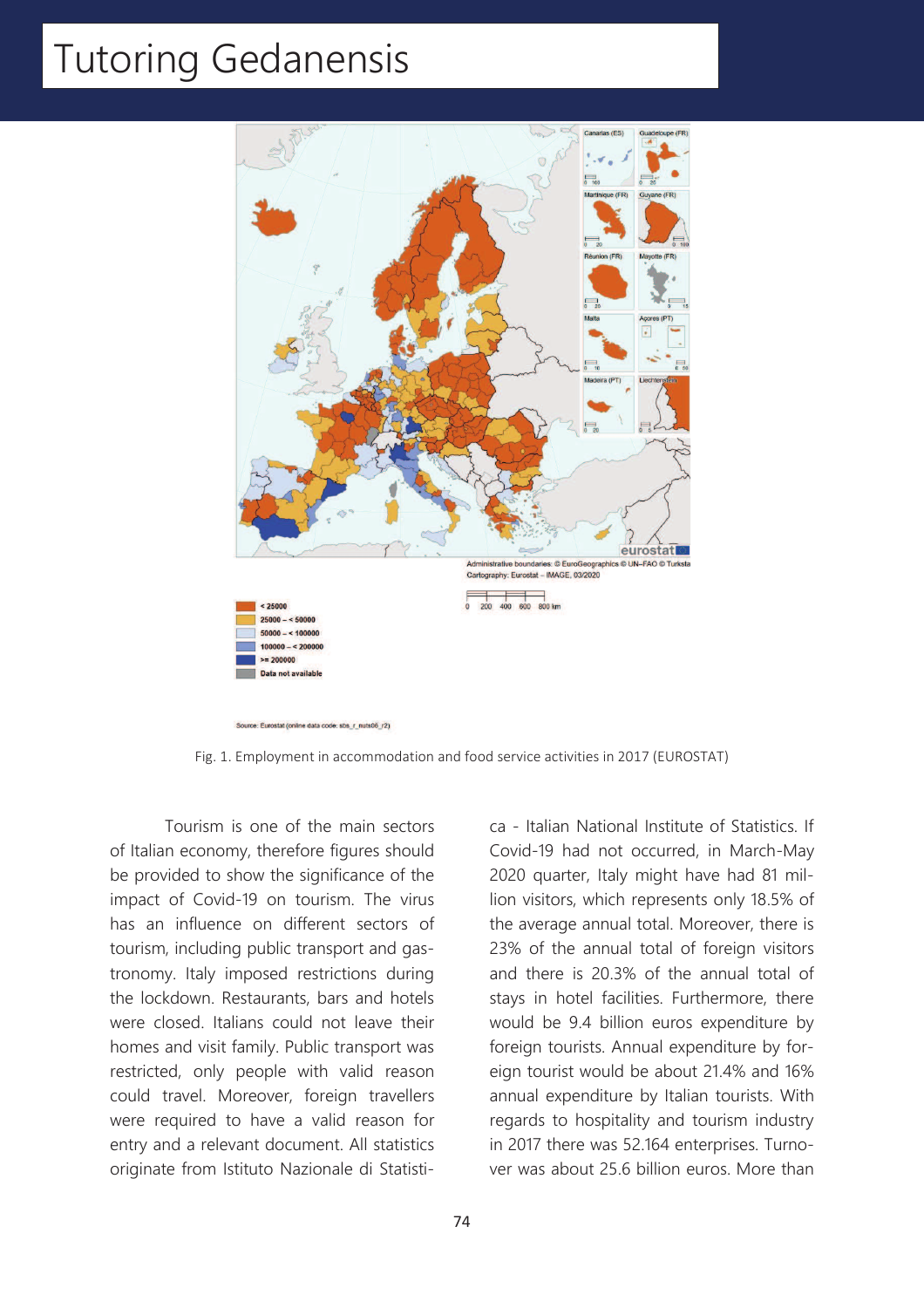### Tutoring Gedanensis



Fig. 1. Employment in accommodation and food service activities in 2017 (EUROSTAT)

Tourism is one of the main sectors of Italian economy, therefore figures should be provided to show the significance of the impact of Covid-19 on tourism. The virus has an influence on different sectors of tourism, including public transport and gastronomy. Italy imposed restrictions during the lockdown. Restaurants, bars and hotels were closed. Italians could not leave their homes and visit family. Public transport was restricted, only people with valid reason could travel. Moreover, foreign travellers were required to have a valid reason for entry and a relevant document. All statistics originate from Istituto Nazionale di Statistica - Italian National Institute of Statistics. If Covid-19 had not occurred, in March-May 2020 quarter, Italy might have had 81 million visitors, which represents only 18.5% of the average annual total. Moreover, there is 23% of the annual total of foreign visitors and there is 20.3% of the annual total of stays in hotel facilities. Furthermore, there would be 9.4 billion euros expenditure by foreign tourists. Annual expenditure by foreign tourist would be about 21.4% and 16% annual expenditure by Italian tourists. With regards to hospitality and tourism industry in 2017 there was 52.164 enterprises. Turnover was about 25.6 billion euros. More than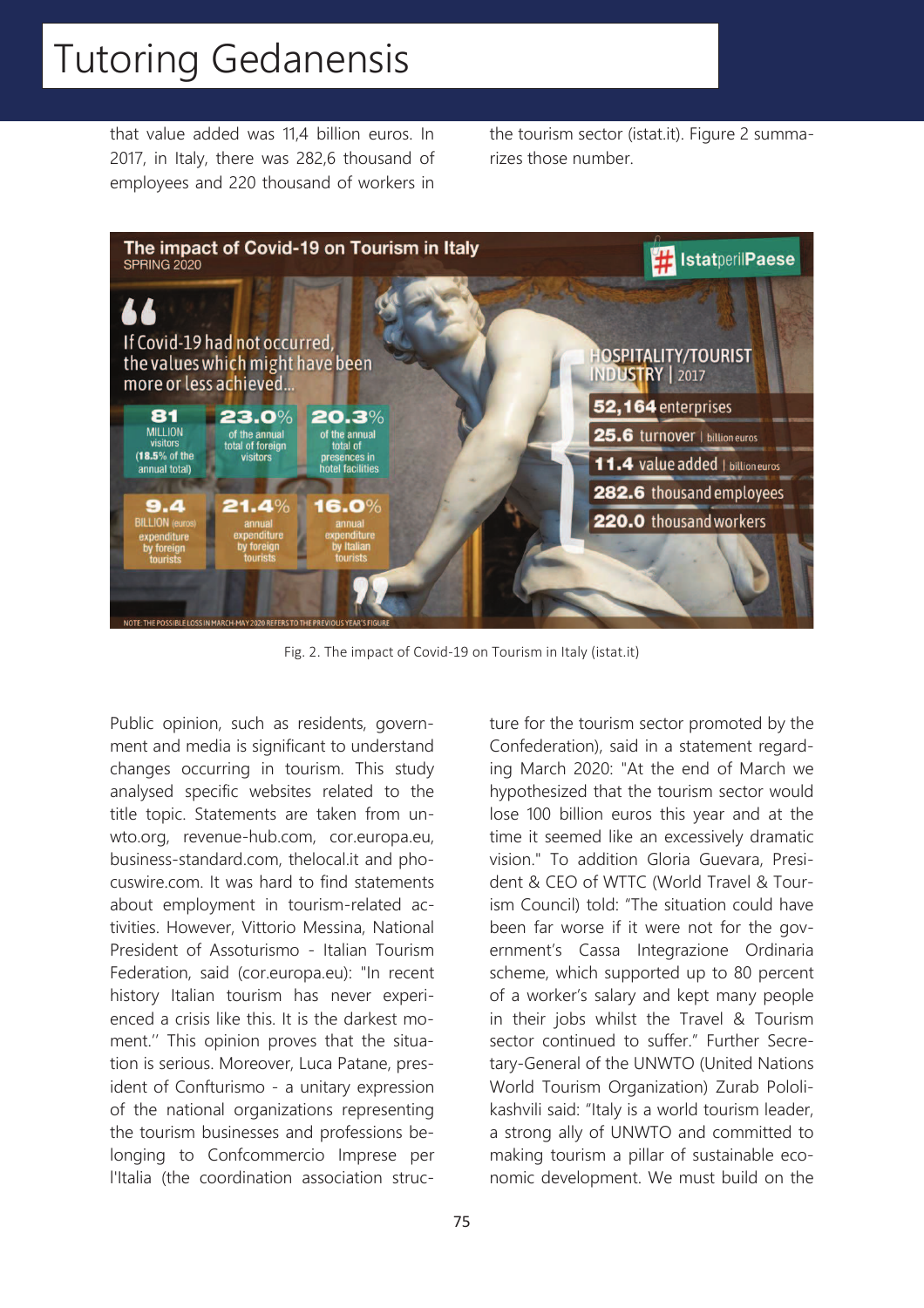## Tutoring Gedanensis

that value added was 11,4 billion euros. In 2017, in Italy, there was 282,6 thousand of employees and 220 thousand of workers in the tourism sector (istat.it). Figure 2 summarizes those number.



Fig. 2. The impact of Covid-19 on Tourism in Italy (istat.it)

Public opinion, such as residents, government and media is significant to understand changes occurring in tourism. This study analysed specific websites related to the title topic. Statements are taken from unwto.org, revenue-hub.com, cor.europa.eu, business-standard.com, thelocal.it and phocuswire.com. It was hard to find statements about employment in tourism-related activities. However, Vittorio Messina, National President of Assoturismo - Italian Tourism Federation, said (cor.europa.eu): "In recent history Italian tourism has never experienced a crisis like this. It is the darkest moment.'' This opinion proves that the situation is serious. Moreover, Luca Patane, president of Confturismo - a unitary expression of the national organizations representing the tourism businesses and professions belonging to Confcommercio Imprese per l'Italia (the coordination association struc-

Confederation), said in a statement regarding March 2020: "At the end of March we hypothesized that the tourism sector would lose 100 billion euros this year and at the time it seemed like an excessively dramatic vision." To addition Gloria Guevara, President & CEO of WTTC (World Travel & Tourism Council) told: "The situation could have been far worse if it were not for the government's Cassa Integrazione Ordinaria scheme, which supported up to 80 percent of a worker's salary and kept many people in their jobs whilst the Travel & Tourism sector continued to suffer." Further Secretary-General of the UNWTO (United Nations World Tourism Organization) Zurab Pololikashvili said: "Italy is a world tourism leader, a strong ally of UNWTO and committed to making tourism a pillar of sustainable economic development. We must build on the

ture for the tourism sector promoted by the